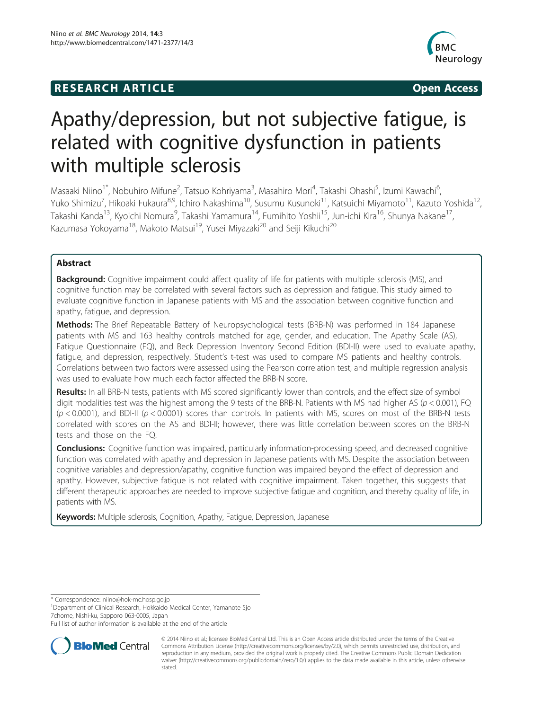## **RESEARCH ARTICLE CONSUMING A RESEARCH ARTICLE**



# Apathy/depression, but not subjective fatigue, is related with cognitive dysfunction in patients with multiple sclerosis

Masaaki Niino<sup>1\*</sup>, Nobuhiro Mifune<sup>2</sup>, Tatsuo Kohriyama<sup>3</sup>, Masahiro Mori<sup>4</sup>, Takashi Ohashi<sup>5</sup>, Izumi Kawachi<sup>6</sup> , Yuko Shimizu<sup>7</sup>, Hikoaki Fukaura<sup>8,9</sup>, Ichiro Nakashima<sup>10</sup>, Susumu Kusunoki<sup>11</sup>, Katsuichi Miyamoto<sup>11</sup>, Kazuto Yoshida<sup>12</sup>, Takashi Kanda<sup>13</sup>, Kyoichi Nomura<sup>9</sup>, Takashi Yamamura<sup>14</sup>, Fumihito Yoshii<sup>15</sup>, Jun-ichi Kira<sup>16</sup>, Shunya Nakane<sup>17</sup>, Kazumasa Yokoyama<sup>18</sup>, Makoto Matsui<sup>19</sup>, Yusei Miyazaki<sup>20</sup> and Seiji Kikuchi<sup>20</sup>

## Abstract

Background: Cognitive impairment could affect quality of life for patients with multiple sclerosis (MS), and cognitive function may be correlated with several factors such as depression and fatigue. This study aimed to evaluate cognitive function in Japanese patients with MS and the association between cognitive function and apathy, fatigue, and depression.

Methods: The Brief Repeatable Battery of Neuropsychological tests (BRB-N) was performed in 184 Japanese patients with MS and 163 healthy controls matched for age, gender, and education. The Apathy Scale (AS), Fatigue Questionnaire (FQ), and Beck Depression Inventory Second Edition (BDI-II) were used to evaluate apathy, fatigue, and depression, respectively. Student's t-test was used to compare MS patients and healthy controls. Correlations between two factors were assessed using the Pearson correlation test, and multiple regression analysis was used to evaluate how much each factor affected the BRB-N score.

Results: In all BRB-N tests, patients with MS scored significantly lower than controls, and the effect size of symbol digit modalities test was the highest among the 9 tests of the BRB-N. Patients with MS had higher AS ( $p < 0.001$ ), FQ  $(p < 0.0001)$ , and BDI-II ( $p < 0.0001$ ) scores than controls. In patients with MS, scores on most of the BRB-N tests correlated with scores on the AS and BDI-II; however, there was little correlation between scores on the BRB-N tests and those on the FQ.

**Conclusions:** Cognitive function was impaired, particularly information-processing speed, and decreased cognitive function was correlated with apathy and depression in Japanese patients with MS. Despite the association between cognitive variables and depression/apathy, cognitive function was impaired beyond the effect of depression and apathy. However, subjective fatigue is not related with cognitive impairment. Taken together, this suggests that different therapeutic approaches are needed to improve subjective fatigue and cognition, and thereby quality of life, in patients with MS.

Keywords: Multiple sclerosis, Cognition, Apathy, Fatigue, Depression, Japanese

\* Correspondence: [niino@hok-mc.hosp.go.jp](mailto:niino@hok-mc.hosp.go.jp) <sup>1</sup>

<sup>1</sup>Department of Clinical Research, Hokkaido Medical Center, Yamanote 5jo 7chome, Nishi-ku, Sapporo 063-0005, Japan

Full list of author information is available at the end of the article



© 2014 Niino et al.; licensee BioMed Central Ltd. This is an Open Access article distributed under the terms of the Creative Commons Attribution License [\(http://creativecommons.org/licenses/by/2.0\)](http://creativecommons.org/licenses/by/2.0), which permits unrestricted use, distribution, and reproduction in any medium, provided the original work is properly cited. The Creative Commons Public Domain Dedication waiver [\(http://creativecommons.org/publicdomain/zero/1.0/\)](http://creativecommons.org/publicdomain/zero/1.0/) applies to the data made available in this article, unless otherwise stated.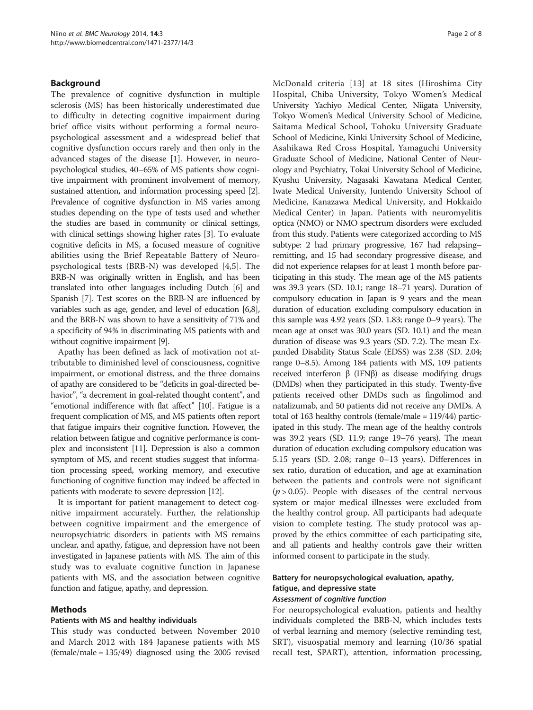## Background

The prevalence of cognitive dysfunction in multiple sclerosis (MS) has been historically underestimated due to difficulty in detecting cognitive impairment during brief office visits without performing a formal neuropsychological assessment and a widespread belief that cognitive dysfunction occurs rarely and then only in the advanced stages of the disease [[1](#page-6-0)]. However, in neuropsychological studies, 40–65% of MS patients show cognitive impairment with prominent involvement of memory, sustained attention, and information processing speed [[2](#page-6-0)]. Prevalence of cognitive dysfunction in MS varies among studies depending on the type of tests used and whether the studies are based in community or clinical settings, with clinical settings showing higher rates [[3](#page-6-0)]. To evaluate cognitive deficits in MS, a focused measure of cognitive abilities using the Brief Repeatable Battery of Neuropsychological tests (BRB-N) was developed [[4,5](#page-6-0)]. The BRB-N was originally written in English, and has been translated into other languages including Dutch [\[6](#page-6-0)] and Spanish [\[7](#page-6-0)]. Test scores on the BRB-N are influenced by variables such as age, gender, and level of education [[6,8](#page-6-0)], and the BRB-N was shown to have a sensitivity of 71% and a specificity of 94% in discriminating MS patients with and without cognitive impairment [[9\]](#page-6-0).

Apathy has been defined as lack of motivation not attributable to diminished level of consciousness, cognitive impairment, or emotional distress, and the three domains of apathy are considered to be "deficits in goal-directed behavior", "a decrement in goal-related thought content", and "emotional indifference with flat affect" [[10](#page-6-0)]. Fatigue is a frequent complication of MS, and MS patients often report that fatigue impairs their cognitive function. However, the relation between fatigue and cognitive performance is complex and inconsistent [\[11\]](#page-6-0). Depression is also a common symptom of MS, and recent studies suggest that information processing speed, working memory, and executive functioning of cognitive function may indeed be affected in patients with moderate to severe depression [[12](#page-6-0)].

It is important for patient management to detect cognitive impairment accurately. Further, the relationship between cognitive impairment and the emergence of neuropsychiatric disorders in patients with MS remains unclear, and apathy, fatigue, and depression have not been investigated in Japanese patients with MS. The aim of this study was to evaluate cognitive function in Japanese patients with MS, and the association between cognitive function and fatigue, apathy, and depression.

#### Methods

#### Patients with MS and healthy individuals

This study was conducted between November 2010 and March 2012 with 184 Japanese patients with MS  $(female/male = 135/49)$  diagnosed using the 2005 revised McDonald criteria [\[13\]](#page-6-0) at 18 sites (Hiroshima City Hospital, Chiba University, Tokyo Women's Medical University Yachiyo Medical Center, Niigata University, Tokyo Women's Medical University School of Medicine, Saitama Medical School, Tohoku University Graduate School of Medicine, Kinki University School of Medicine, Asahikawa Red Cross Hospital, Yamaguchi University Graduate School of Medicine, National Center of Neurology and Psychiatry, Tokai University School of Medicine, Kyushu University, Nagasaki Kawatana Medical Center, Iwate Medical University, Juntendo University School of Medicine, Kanazawa Medical University, and Hokkaido Medical Center) in Japan. Patients with neuromyelitis optica (NMO) or NMO spectrum disorders were excluded from this study. Patients were categorized according to MS subtype: 2 had primary progressive, 167 had relapsing– remitting, and 15 had secondary progressive disease, and did not experience relapses for at least 1 month before participating in this study. The mean age of the MS patients was 39.3 years (SD. 10.1; range 18–71 years). Duration of compulsory education in Japan is 9 years and the mean duration of education excluding compulsory education in this sample was 4.92 years (SD. 1.83; range 0–9 years). The mean age at onset was 30.0 years (SD. 10.1) and the mean duration of disease was 9.3 years (SD. 7.2). The mean Expanded Disability Status Scale (EDSS) was 2.38 (SD. 2.04; range 0–8.5). Among 184 patients with MS, 109 patients received interferon β (IFNβ) as disease modifying drugs (DMDs) when they participated in this study. Twenty-five patients received other DMDs such as fingolimod and natalizumab, and 50 patients did not receive any DMDs. A total of 163 healthy controls (female/male = 119/44) participated in this study. The mean age of the healthy controls was 39.2 years (SD. 11.9; range 19–76 years). The mean duration of education excluding compulsory education was 5.15 years (SD. 2.08; range 0–13 years). Differences in sex ratio, duration of education, and age at examination between the patients and controls were not significant  $(p > 0.05)$ . People with diseases of the central nervous system or major medical illnesses were excluded from the healthy control group. All participants had adequate vision to complete testing. The study protocol was approved by the ethics committee of each participating site, and all patients and healthy controls gave their written informed consent to participate in the study.

## Battery for neuropsychological evaluation, apathy, fatigue, and depressive state Assessment of cognitive function

For neuropsychological evaluation, patients and healthy individuals completed the BRB-N, which includes tests of verbal learning and memory (selective reminding test, SRT), visuospatial memory and learning (10/36 spatial recall test, SPART), attention, information processing,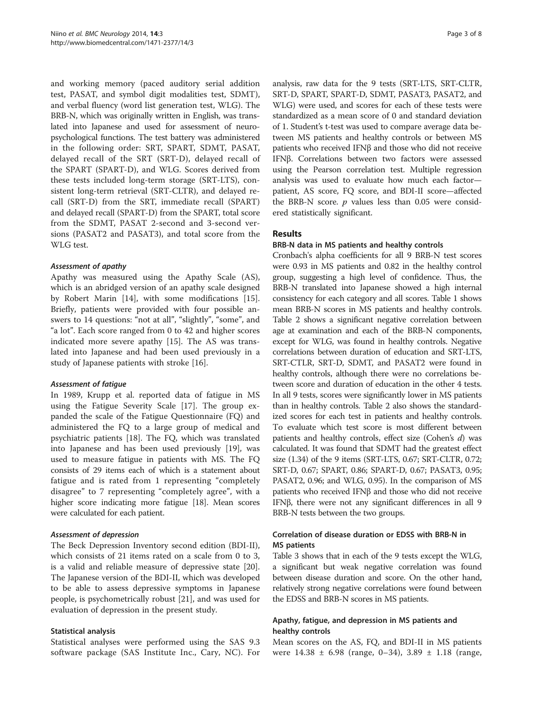and working memory (paced auditory serial addition test, PASAT, and symbol digit modalities test, SDMT), and verbal fluency (word list generation test, WLG). The BRB-N, which was originally written in English, was translated into Japanese and used for assessment of neuropsychological functions. The test battery was administered in the following order: SRT, SPART, SDMT, PASAT, delayed recall of the SRT (SRT-D), delayed recall of the SPART (SPART-D), and WLG. Scores derived from these tests included long-term storage (SRT-LTS), consistent long-term retrieval (SRT-CLTR), and delayed recall (SRT-D) from the SRT, immediate recall (SPART) and delayed recall (SPART-D) from the SPART, total score from the SDMT, PASAT 2-second and 3-second versions (PASAT2 and PASAT3), and total score from the WLG test.

#### Assessment of apathy

Apathy was measured using the Apathy Scale (AS), which is an abridged version of an apathy scale designed by Robert Marin [\[14](#page-6-0)], with some modifications [\[15](#page-6-0)]. Briefly, patients were provided with four possible answers to 14 questions: "not at all", "slightly", "some", and "a lot". Each score ranged from 0 to 42 and higher scores indicated more severe apathy [\[15](#page-6-0)]. The AS was translated into Japanese and had been used previously in a study of Japanese patients with stroke [\[16](#page-7-0)].

#### Assessment of fatigue

In 1989, Krupp et al. reported data of fatigue in MS using the Fatigue Severity Scale [\[17](#page-7-0)]. The group expanded the scale of the Fatigue Questionnaire (FQ) and administered the FQ to a large group of medical and psychiatric patients [\[18\]](#page-7-0). The FQ, which was translated into Japanese and has been used previously [\[19\]](#page-7-0), was used to measure fatigue in patients with MS. The FQ consists of 29 items each of which is a statement about fatigue and is rated from 1 representing "completely disagree" to 7 representing "completely agree", with a higher score indicating more fatigue [\[18\]](#page-7-0). Mean scores were calculated for each patient.

#### Assessment of depression

The Beck Depression Inventory second edition (BDI-II), which consists of 21 items rated on a scale from 0 to 3, is a valid and reliable measure of depressive state [\[20](#page-7-0)]. The Japanese version of the BDI-II, which was developed to be able to assess depressive symptoms in Japanese people, is psychometrically robust [\[21](#page-7-0)], and was used for evaluation of depression in the present study.

#### Statistical analysis

Statistical analyses were performed using the SAS 9.3 software package (SAS Institute Inc., Cary, NC). For analysis, raw data for the 9 tests (SRT-LTS, SRT-CLTR, SRT-D, SPART, SPART-D, SDMT, PASAT3, PASAT2, and WLG) were used, and scores for each of these tests were standardized as a mean score of 0 and standard deviation of 1. Student's t-test was used to compare average data between MS patients and healthy controls or between MS patients who received IFNβ and those who did not receive IFNβ. Correlations between two factors were assessed using the Pearson correlation test. Multiple regression analysis was used to evaluate how much each factor patient, AS score, FQ score, and BDI-II score—affected the BRB-N score.  $p$  values less than 0.05 were considered statistically significant.

## **Results**

#### BRB-N data in MS patients and healthy controls

Cronbach's alpha coefficients for all 9 BRB-N test scores were 0.93 in MS patients and 0.82 in the healthy control group, suggesting a high level of confidence. Thus, the BRB-N translated into Japanese showed a high internal consistency for each category and all scores. Table [1](#page-3-0) shows mean BRB-N scores in MS patients and healthy controls. Table [2](#page-3-0) shows a significant negative correlation between age at examination and each of the BRB-N components, except for WLG, was found in healthy controls. Negative correlations between duration of education and SRT-LTS, SRT-CTLR, SRT-D, SDMT, and PASAT2 were found in healthy controls, although there were no correlations between score and duration of education in the other 4 tests. In all 9 tests, scores were significantly lower in MS patients than in healthy controls. Table [2](#page-3-0) also shows the standardized scores for each test in patients and healthy controls. To evaluate which test score is most different between patients and healthy controls, effect size (Cohen's  $d$ ) was calculated. It was found that SDMT had the greatest effect size (1.34) of the 9 items (SRT-LTS, 0.67; SRT-CLTR, 0.72; SRT-D, 0.67; SPART, 0.86; SPART-D, 0.67; PASAT3, 0.95; PASAT2, 0.96; and WLG, 0.95). In the comparison of MS patients who received IFNβ and those who did not receive IFNβ, there were not any significant differences in all 9 BRB-N tests between the two groups.

## Correlation of disease duration or EDSS with BRB-N in MS patients

Table [3](#page-4-0) shows that in each of the 9 tests except the WLG, a significant but weak negative correlation was found between disease duration and score. On the other hand, relatively strong negative correlations were found between the EDSS and BRB-N scores in MS patients.

## Apathy, fatigue, and depression in MS patients and healthy controls

Mean scores on the AS, FQ, and BDI-II in MS patients were 14.38 ± 6.98 (range, 0–34), 3.89 ± 1.18 (range,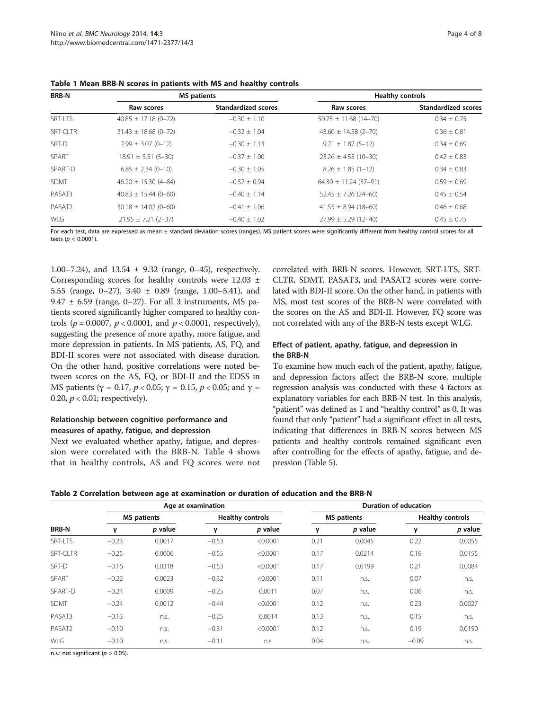| <b>BRB-N</b>    |                            | <b>MS</b> patients         | <b>Healthy controls</b>   |                            |  |  |  |
|-----------------|----------------------------|----------------------------|---------------------------|----------------------------|--|--|--|
|                 | Raw scores                 | <b>Standardized scores</b> | Raw scores                | <b>Standardized scores</b> |  |  |  |
| SRT-LTS         | $40.85 \pm 17.18(0 - 72)$  | $-0.30 \pm 1.10$           | $50.75 \pm 11.68$ (14-70) | $0.34 \pm 0.75$            |  |  |  |
| <b>SRT-CLTR</b> | $31.43 \pm 18.68$ (0-72)   | $-0.32 \pm 1.04$           | $43.60 \pm 14.58$ (2-70)  | $0.36 \pm 0.81$            |  |  |  |
| SRT-D           | $7.99 \pm 3.07$ (0-12)     | $-0.30 \pm 1.13$           | $9.71 \pm 1.87$ (5-12)    | $0.34 \pm 0.69$            |  |  |  |
| SPART           | $18.91 \pm 5.51$ (5-30)    | $-0.37 \pm 1.00$           | $23.26 \pm 4.55$ (10-30)  | $0.42 \pm 0.83$            |  |  |  |
| SPART-D         | $6.85 \pm 2.34 (0 - 10)$   | $-0.30 \pm 1.05$           | $8.26 \pm 1.85$ (1-12)    | $0.34 \pm 0.83$            |  |  |  |
| <b>SDMT</b>     | $46.20 \pm 15.30 (4 - 84)$ | $-0.52 \pm 0.94$           | $64.30 \pm 11.24$ (37-91) | $0.59 \pm 0.69$            |  |  |  |
| PASAT3          | $40.83 \pm 15.44 (0 - 60)$ | $-0.40 + 1.14$             | $52.45 \pm 7.26$ (24-60)  | $0.45 \pm 0.54$            |  |  |  |
| PASAT2          | $30.18 \pm 14.02 (0 - 60)$ | $-0.41 \pm 1.06$           | $41.55 \pm 8.94$ (18-60)  | $0.46 \pm 0.68$            |  |  |  |
| WLG             | $21.95 \pm 7.21$ (2-37)    | $-0.40 + 1.02$             | $27.99 \pm 5.29$ (12-40)  | $0.45 + 0.75$              |  |  |  |

<span id="page-3-0"></span>Table 1 Mean BRB-N scores in patients with MS and healthy controls

For each test, data are expressed as mean ± standard deviation scores (ranges). MS patient scores were significantly different from healthy control scores for all tests ( $p < 0.0001$ ).

1.00–7.24), and  $13.54 \pm 9.32$  (range, 0–45), respectively. Corresponding scores for healthy controls were 12.03 ± 5.55 (range, 0–27), 3.40 ± 0.89 (range, 1.00–5.41), and 9.47  $\pm$  6.59 (range, 0–27). For all 3 instruments, MS patients scored significantly higher compared to healthy controls ( $p = 0.0007$ ,  $p < 0.0001$ , and  $p < 0.0001$ , respectively), suggesting the presence of more apathy, more fatigue, and more depression in patients. In MS patients, AS, FQ, and BDI-II scores were not associated with disease duration. On the other hand, positive correlations were noted between scores on the AS, FQ, or BDI-II and the EDSS in MS patients ( $\gamma$  = 0.17,  $p < 0.05$ ;  $\gamma$  = 0.15,  $p < 0.05$ ; and  $\gamma$  = 0.20,  $p < 0.01$ ; respectively).

## Relationship between cognitive performance and measures of apathy, fatigue, and depression

Next we evaluated whether apathy, fatigue, and depression were correlated with the BRB-N. Table [4](#page-4-0) shows that in healthy controls, AS and FQ scores were not

correlated with BRB-N scores. However, SRT-LTS, SRT-CLTR, SDMT, PASAT3, and PASAT2 scores were correlated with BDI-II score. On the other hand, in patients with MS, most test scores of the BRB-N were correlated with the scores on the AS and BDI-II. However, FQ score was not correlated with any of the BRB-N tests except WLG.

## Effect of patient, apathy, fatigue, and depression in the BRB-N

To examine how much each of the patient, apathy, fatigue, and depression factors affect the BRB-N score, multiple regression analysis was conducted with these 4 factors as explanatory variables for each BRB-N test. In this analysis, "patient" was defined as 1 and "healthy control" as 0. It was found that only "patient" had a significant effect in all tests, indicating that differences in BRB-N scores between MS patients and healthy controls remained significant even after controlling for the effects of apathy, fatigue, and depression (Table [5\)](#page-5-0).

| Table 2 Correlation between age at examination or duration of education and the BRB-N |  |  |  |  |  |
|---------------------------------------------------------------------------------------|--|--|--|--|--|
|---------------------------------------------------------------------------------------|--|--|--|--|--|

|                    |         |                    | Age at examination |                         | Duration of education |                    |                         |         |  |  |
|--------------------|---------|--------------------|--------------------|-------------------------|-----------------------|--------------------|-------------------------|---------|--|--|
|                    |         | <b>MS</b> patients |                    | <b>Healthy controls</b> |                       | <b>MS</b> patients | <b>Healthy controls</b> |         |  |  |
| <b>BRB-N</b>       | ν       | p value            | ν                  | p value                 | γ                     | p value            | ν                       | p value |  |  |
| SRT-I TS           | $-0.23$ | 0.0017             | $-0.53$            | < 0.0001                | 0.21                  | 0.0045             | 0.22                    | 0.0055  |  |  |
| SRT-CLTR           | $-0.25$ | 0.0006             | $-0.55$            | < 0.0001                | 0.17                  | 0.0214             | 0.19                    | 0.0155  |  |  |
| SRT-D              | $-0.16$ | 0.0318             | $-0.53$            | < 0.0001                | 0.17                  | 0.0199             | 0.21                    | 0.0084  |  |  |
| SPART              | $-0.22$ | 0.0023             | $-0.32$            | < 0.0001                | 0.11                  | n.s.               | 0.07                    | n.s.    |  |  |
| SPART-D            | $-0.24$ | 0.0009             | $-0.25$            | 0.0011                  | 0.07                  | n.s.               | 0.06                    | n.s.    |  |  |
| <b>SDMT</b>        | $-0.24$ | 0.0012             | $-0.44$            | < 0.0001                | 0.12                  | n.s.               | 0.23                    | 0.0027  |  |  |
| PASAT3             | $-0.13$ | n.S.               | $-0.25$            | 0.0014                  | 0.13                  | n.s.               | 0.15                    | n.s.    |  |  |
| PASAT <sub>2</sub> | $-0.10$ | n.S.               | $-0.31$            | < 0.0001                | 0.12                  | n.s.               | 0.19                    | 0.0150  |  |  |
| WLG                | $-0.10$ | n.s.               | $-0.11$            | n.s.                    | 0.04                  | n.S.               | $-0.09$                 | n.s.    |  |  |

n.s.: not significant ( $p > 0.05$ ).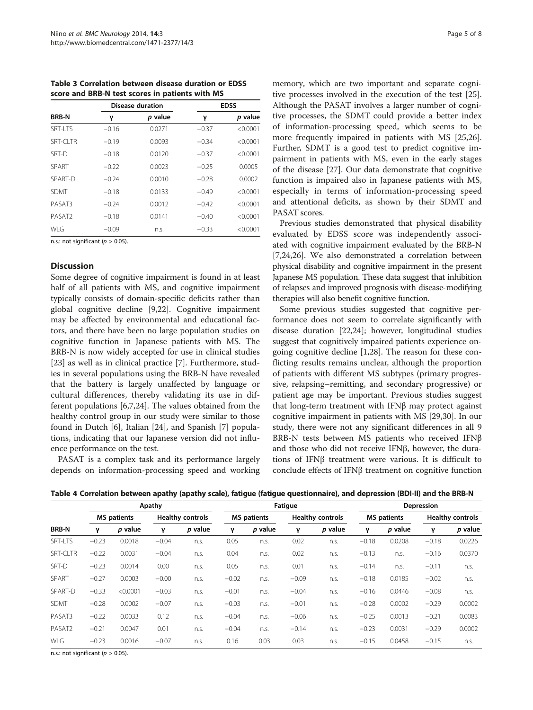<span id="page-4-0"></span>Table 3 Correlation between disease duration or EDSS score and BRB-N test scores in patients with MS

|                    |         | <b>Disease duration</b> | <b>EDSS</b> |          |  |  |
|--------------------|---------|-------------------------|-------------|----------|--|--|
| <b>BRB-N</b>       | γ       | p value                 | γ           | p value  |  |  |
| <b>SRT-LTS</b>     | $-0.16$ | 0.0271                  | $-0.37$     | < 0.0001 |  |  |
| SRT-CLTR           | $-0.19$ | 0.0093                  | $-0.34$     | < 0.0001 |  |  |
| SRT-D              | $-0.18$ | 0.0120                  | $-0.37$     | < 0.0001 |  |  |
| SPART              | $-0.22$ | 0.0023                  | $-0.25$     | 0.0005   |  |  |
| SPART-D            | $-0.24$ | 0.0010                  | $-0.28$     | 0.0002   |  |  |
| <b>SDMT</b>        | $-0.18$ | 0.0133                  | $-0.49$     | < 0.0001 |  |  |
| PASAT3             | $-0.24$ | 0.0012                  | $-0.42$     | < 0.0001 |  |  |
| PASAT <sub>2</sub> | $-0.18$ | 0.0141                  | $-0.40$     | < 0.0001 |  |  |
| WI G               | $-0.09$ | n.s.                    | $-0.33$     | < 0.0001 |  |  |

n.s.: not significant ( $p > 0.05$ ).

## **Discussion**

Some degree of cognitive impairment is found in at least half of all patients with MS, and cognitive impairment typically consists of domain-specific deficits rather than global cognitive decline [[9,](#page-6-0)[22\]](#page-7-0). Cognitive impairment may be affected by environmental and educational factors, and there have been no large population studies on cognitive function in Japanese patients with MS. The BRB-N is now widely accepted for use in clinical studies [[23\]](#page-7-0) as well as in clinical practice [\[7\]](#page-6-0). Furthermore, studies in several populations using the BRB-N have revealed that the battery is largely unaffected by language or cultural differences, thereby validating its use in different populations [\[6,7](#page-6-0)[,24](#page-7-0)]. The values obtained from the healthy control group in our study were similar to those found in Dutch [\[6\]](#page-6-0), Italian [[24\]](#page-7-0), and Spanish [[7\]](#page-6-0) populations, indicating that our Japanese version did not influence performance on the test.

PASAT is a complex task and its performance largely depends on information-processing speed and working

memory, which are two important and separate cognitive processes involved in the execution of the test [\[25](#page-7-0)]. Although the PASAT involves a larger number of cognitive processes, the SDMT could provide a better index of information-processing speed, which seems to be more frequently impaired in patients with MS [\[25,26](#page-7-0)]. Further, SDMT is a good test to predict cognitive impairment in patients with MS, even in the early stages of the disease [[27\]](#page-7-0). Our data demonstrate that cognitive function is impaired also in Japanese patients with MS, especially in terms of information-processing speed and attentional deficits, as shown by their SDMT and PASAT scores.

Previous studies demonstrated that physical disability evaluated by EDSS score was independently associated with cognitive impairment evaluated by the BRB-N [[7,](#page-6-0)[24,26\]](#page-7-0). We also demonstrated a correlation between physical disability and cognitive impairment in the present Japanese MS population. These data suggest that inhibition of relapses and improved prognosis with disease-modifying therapies will also benefit cognitive function.

Some previous studies suggested that cognitive performance does not seem to correlate significantly with disease duration [\[22,24\]](#page-7-0); however, longitudinal studies suggest that cognitively impaired patients experience ongoing cognitive decline [[1,](#page-6-0)[28\]](#page-7-0). The reason for these conflicting results remains unclear, although the proportion of patients with different MS subtypes (primary progressive, relapsing–remitting, and secondary progressive) or patient age may be important. Previous studies suggest that long-term treatment with IFNβ may protect against cognitive impairment in patients with MS [[29](#page-7-0),[30](#page-7-0)]. In our study, there were not any significant differences in all 9 BRB-N tests between MS patients who received IFNβ and those who did not receive IFNβ, however, the durations of IFNβ treatment were various. It is difficult to conclude effects of IFNβ treatment on cognitive function

| Table 4 Correlation between apathy (apathy scale), fatigue (fatigue questionnaire), and depression (BDI-II) and the BRB-N |  |  |  |  |  |
|---------------------------------------------------------------------------------------------------------------------------|--|--|--|--|--|
|---------------------------------------------------------------------------------------------------------------------------|--|--|--|--|--|

|              |         |                    | Apathy  |                         | Fatigue |                    |         |                         | Depression |                    |         |                         |  |
|--------------|---------|--------------------|---------|-------------------------|---------|--------------------|---------|-------------------------|------------|--------------------|---------|-------------------------|--|
|              |         | <b>MS</b> patients |         | <b>Healthy controls</b> |         | <b>MS</b> patients |         | <b>Healthy controls</b> |            | <b>MS</b> patients |         | <b>Healthy controls</b> |  |
| <b>BRB-N</b> | ν       | p value            | γ       | p value                 | ν       | p value            | ν       | p value                 | ν          | p value            | γ       | p value                 |  |
| SRT-LTS      | $-0.23$ | 0.0018             | $-0.04$ | n.s.                    | 0.05    | n.s.               | 0.02    | n.S.                    | $-0.18$    | 0.0208             | $-0.18$ | 0.0226                  |  |
| SRT-CLTR     | $-0.22$ | 0.0031             | $-0.04$ | n.s.                    | 0.04    | n.s.               | 0.02    | n.s.                    | $-0.13$    | n.s.               | $-0.16$ | 0.0370                  |  |
| SRT-D        | $-0.23$ | 0.0014             | 0.00    | n.s.                    | 0.05    | n.s.               | 0.01    | n.s.                    | $-0.14$    | n.s.               | $-0.11$ | n.s.                    |  |
| SPART        | $-0.27$ | 0.0003             | $-0.00$ | n.s.                    | $-0.02$ | n.s.               | $-0.09$ | n.S.                    | $-0.18$    | 0.0185             | $-0.02$ | n.s.                    |  |
| SPART-D      | $-0.33$ | < 0.0001           | $-0.03$ | n.s.                    | $-0.01$ | n.s.               | $-0.04$ | n.S.                    | $-0.16$    | 0.0446             | $-0.08$ | n.s.                    |  |
| <b>SDMT</b>  | $-0.28$ | 0.0002             | $-0.07$ | n.s.                    | $-0.03$ | n.s.               | $-0.01$ | n.s.                    | $-0.28$    | 0.0002             | $-0.29$ | 0.0002                  |  |
| PASAT3       | $-0.22$ | 0.0033             | 0.12    | n.s.                    | $-0.04$ | n.s.               | $-0.06$ | n.S.                    | $-0.25$    | 0.0013             | $-0.21$ | 0.0083                  |  |
| PASAT2       | $-0.21$ | 0.0047             | 0.01    | n.s.                    | $-0.04$ | n.s.               | $-0.14$ | n.S.                    | $-0.23$    | 0.0031             | $-0.29$ | 0.0002                  |  |
| WLG          | $-0.23$ | 0.0016             | $-0.07$ | n.s.                    | 0.16    | 0.03               | 0.03    | n.s.                    | $-0.15$    | 0.0458             | $-0.15$ | n.s.                    |  |

n.s.: not significant ( $p > 0.05$ ).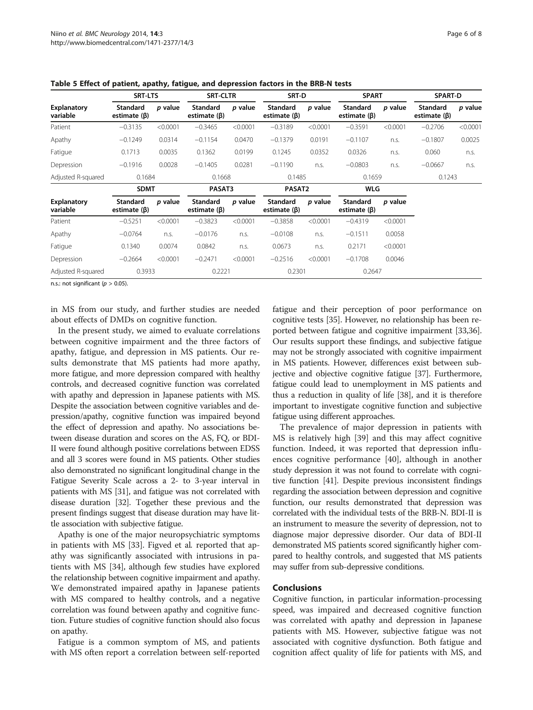|                                | <b>SRT-LTS</b>                 |          | <b>SRT-CLTR</b>                |          | SRT-D                          |          | <b>SPART</b>                   |          | <b>SPART-D</b>                        |          |
|--------------------------------|--------------------------------|----------|--------------------------------|----------|--------------------------------|----------|--------------------------------|----------|---------------------------------------|----------|
| <b>Explanatory</b><br>variable | Standard<br>estimate $(\beta)$ | p value  | Standard<br>estimate $(\beta)$ | p value  | Standard<br>estimate $(\beta)$ | p value  | Standard<br>estimate $(\beta)$ | p value  | <b>Standard</b><br>estimate $(\beta)$ | p value  |
| Patient                        | $-0.3135$                      | < 0.0001 | $-0.3465$                      | < 0.0001 | $-0.3189$                      | < 0.0001 | $-0.3591$                      | < 0.0001 | $-0.2706$                             | < 0.0001 |
| Apathy                         | $-0.1249$                      | 0.0314   | $-0.1154$                      | 0.0470   | $-0.1379$                      | 0.0191   | $-0.1107$                      | n.s.     | $-0.1807$                             | 0.0025   |
| Fatigue                        | 0.1713                         | 0.0035   | 0.1362                         | 0.0199   | 0.1245                         | 0.0352   | 0.0326                         | n.s.     | 0.060                                 | n.s.     |
| Depression                     | $-0.1916$                      | 0.0028   | $-0.1405$                      | 0.0281   | $-0.1190$                      | n.s.     | $-0.0803$                      | n.s.     | $-0.0667$                             | n.s.     |
| Adjusted R-squared             | 0.1684                         |          | 0.1668                         |          | 0.1485                         |          | 0.1659                         |          | 0.1243                                |          |
|                                | <b>SDMT</b>                    |          | PASAT3                         |          | PASAT2                         |          | WLG                            |          |                                       |          |
| <b>Explanatory</b><br>variable | Standard<br>estimate $(\beta)$ | p value  | Standard<br>estimate $(\beta)$ | p value  | Standard<br>estimate $(\beta)$ | p value  | Standard<br>estimate $(\beta)$ | p value  |                                       |          |
| Patient                        | $-0.5251$                      | < 0.0001 | $-0.3823$                      | < 0.0001 | $-0.3858$                      | < 0.0001 | $-0.4319$                      | < 0.0001 |                                       |          |
| Apathy                         | $-0.0764$                      | n.s.     | $-0.0176$                      | n.s.     | $-0.0108$                      | n.s.     | $-0.1511$                      | 0.0058   |                                       |          |
| Fatigue                        | 0.1340                         | 0.0074   | 0.0842                         | n.s.     | 0.0673                         | n.s.     | 0.2171                         | < 0.0001 |                                       |          |
| Depression                     | $-0.2664$                      | < 0.0001 | $-0.2471$                      | < 0.0001 | $-0.2516$                      | < 0.0001 | $-0.1708$                      | 0.0046   |                                       |          |
| Adjusted R-squared             | 0.3933                         |          | 0.2221                         |          | 0.2301                         |          | 0.2647                         |          |                                       |          |

<span id="page-5-0"></span>Table 5 Effect of patient, apathy, fatigue, and depression factors in the BRB-N tests

n.s.: not significant ( $p > 0.05$ ).

in MS from our study, and further studies are needed about effects of DMDs on cognitive function.

In the present study, we aimed to evaluate correlations between cognitive impairment and the three factors of apathy, fatigue, and depression in MS patients. Our results demonstrate that MS patients had more apathy, more fatigue, and more depression compared with healthy controls, and decreased cognitive function was correlated with apathy and depression in Japanese patients with MS. Despite the association between cognitive variables and depression/apathy, cognitive function was impaired beyond the effect of depression and apathy. No associations between disease duration and scores on the AS, FQ, or BDI-II were found although positive correlations between EDSS and all 3 scores were found in MS patients. Other studies also demonstrated no significant longitudinal change in the Fatigue Severity Scale across a 2- to 3-year interval in patients with MS [\[31\]](#page-7-0), and fatigue was not correlated with disease duration [[32](#page-7-0)]. Together these previous and the present findings suggest that disease duration may have little association with subjective fatigue.

Apathy is one of the major neuropsychiatric symptoms in patients with MS [\[33](#page-7-0)]. Figved et al. reported that apathy was significantly associated with intrusions in patients with MS [\[34](#page-7-0)], although few studies have explored the relationship between cognitive impairment and apathy. We demonstrated impaired apathy in Japanese patients with MS compared to healthy controls, and a negative correlation was found between apathy and cognitive function. Future studies of cognitive function should also focus on apathy.

Fatigue is a common symptom of MS, and patients with MS often report a correlation between self-reported

fatigue and their perception of poor performance on cognitive tests [[35](#page-7-0)]. However, no relationship has been reported between fatigue and cognitive impairment [\[33,36](#page-7-0)]. Our results support these findings, and subjective fatigue may not be strongly associated with cognitive impairment in MS patients. However, differences exist between subjective and objective cognitive fatigue [[37](#page-7-0)]. Furthermore, fatigue could lead to unemployment in MS patients and thus a reduction in quality of life [\[38\]](#page-7-0), and it is therefore important to investigate cognitive function and subjective fatigue using different approaches.

The prevalence of major depression in patients with MS is relatively high [\[39](#page-7-0)] and this may affect cognitive function. Indeed, it was reported that depression influences cognitive performance [\[40](#page-7-0)], although in another study depression it was not found to correlate with cognitive function [\[41](#page-7-0)]. Despite previous inconsistent findings regarding the association between depression and cognitive function, our results demonstrated that depression was correlated with the individual tests of the BRB-N. BDI-II is an instrument to measure the severity of depression, not to diagnose major depressive disorder. Our data of BDI-II demonstrated MS patients scored significantly higher compared to healthy controls, and suggested that MS patients may suffer from sub-depressive conditions.

#### Conclusions

Cognitive function, in particular information-processing speed, was impaired and decreased cognitive function was correlated with apathy and depression in Japanese patients with MS. However, subjective fatigue was not associated with cognitive dysfunction. Both fatigue and cognition affect quality of life for patients with MS, and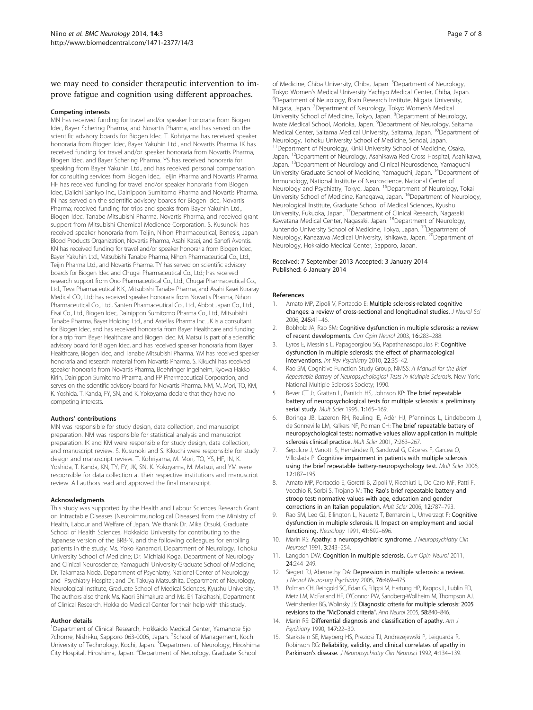<span id="page-6-0"></span>we may need to consider therapeutic intervention to improve fatigue and cognition using different approaches.

#### Competing interests

MN has received funding for travel and/or speaker honoraria from Biogen Idec, Bayer Schering Pharma, and Novartis Pharma, and has served on the scientific advisory boards for Biogen Idec. T. Kohriyama has received speaker honoraria from Biogen Idec, Bayer Yakuhin Ltd., and Novartis Pharma. IK has received funding for travel and/or speaker honoraria from Novartis Pharma, Biogen Idec, and Bayer Schering Pharma. YS has received honoraria for speaking from Bayer Yakuhin Ltd., and has received personal compensation for consulting services from Biogen Idec, Teijin Pharma and Novartis Pharma. HF has received funding for travel and/or speaker honoraria from Biogen Idec, Daiichi Sankyo Inc., Dainippon Sumitomo Pharma and Novartis Pharma. IN has served on the scientific advisory boards for Biogen Idec, Novartis Pharma; received funding for trips and speaks from Bayer Yakuhin Ltd., Biogen Idec, Tanabe Mitsubishi Pharma, Novartis Pharma, and received grant support from Mitsubishi Chemical Medience Corporation. S. Kusunoki has received speaker honoraria from Teijin, Nihon Pharmaceutical, Benesis, Japan Blood Products Organization, Novartis Pharma, Asahi Kasei, and Sanofi Aventis. KN has received funding for travel and/or speaker honoraria from Biogen Idec, Bayer Yakuhin Ltd., Mitsubishi Tanabe Pharma, Nihon Pharmaceutical Co., Ltd., Teijin Pharma Ltd., and Novartis Pharma. TY has served on scientific advisory boards for Biogen Idec and Chugai Pharmaceutical Co., Ltd.; has received research support from Ono Pharmaceutical Co., Ltd., Chugai Pharmaceutical Co., Ltd., Teva Pharmaceutical K.K., Mitsubishi Tanabe Pharma, and Asahi Kasei Kuraray Medical CO., Ltd; has received speaker honoraria from Novartis Pharma, Nihon Pharmaceutical Co., Ltd., Santen Pharmaceutical Co., Ltd., Abbot Japan Co., Ltd.., Eisai Co., Ltd., Biogen Idec, Dainippon Sumitomo Pharma Co., Ltd., Mitsubishi Tanabe Pharma, Bayer Holding Ltd., and Astellas Pharma Inc. JK is a consultant for Biogen Idec, and has received honoraria from Bayer Healthcare and funding for a trip from Bayer Healthcare and Biogen Idec. M. Matsui is part of a scientific advisory board for Biogen Idec, and has received speaker honoraria from Bayer Healthcare, Biogen Idec, and Tanabe Mitsubishi Pharma. YM has received speaker honoraria and research material from Novartis Pharma. S. Kikuchi has received speaker honoraria from Novartis Pharma, Boehringer Ingelheim, Kyowa Hakko Kirin, Dainippon Sumitomo Pharma, and FP Pharmaceutical Corporation, and serves on the scientific advisory board for Novartis Pharma. NM, M. Mori, TO, KM, K. Yoshida, T. Kanda, FY, SN, and K. Yokoyama declare that they have no competing interests.

#### Authors' contributions

MN was responsible for study design, data collection, and manuscript preparation. NM was responsible for statistical analysis and manuscript preparation. IK and KM were responsible for study design, data collection, and manuscript review. S. Kusunoki and S. Kikuchi were responsible for study design and manuscript review. T. Kohriyama, M. Mori, TO, YS, HF, IN, K. Yoshida, T. Kanda, KN, TY, FY, JK, SN, K. Yokoyama, M. Matsui, and YM were responsible for data collection at their respective institutions and manuscript review. All authors read and approved the final manuscript.

#### Acknowledgments

This study was supported by the Health and Labour Sciences Research Grant on Intractable Diseases (Neuroimmunological Diseases) from the Ministry of Health, Labour and Welfare of Japan. We thank Dr. Mika Otsuki, Graduate School of Health Sciences, Hokkaido University for contributing to the Japanese version of the BRB-N, and the following colleagues for enrolling patients in the study: Ms. Yoko Kanamori, Department of Neurology, Tohoku University School of Medicine; Dr. Michiaki Koga, Department of Neurology and Clinical Neuroscience, Yamaguchi University Graduate School of Medicine; Dr. Takamasa Noda, Department of Psychiatry, National Center of Neurology and Psychiatry Hospital; and Dr. Takuya Matsushita, Department of Neurology, Neurological Institute, Graduate School of Medical Sciences, Kyushu University. The authors also thank Ms. Kaori Shimakura and Ms. Eri Takahashi, Department of Clinical Research, Hokkaido Medical Center for their help with this study.

#### Author details

<sup>1</sup>Department of Clinical Research, Hokkaido Medical Center, Yamanote 5jo 7chome, Nishi-ku, Sapporo 063-0005, Japan. <sup>2</sup>School of Management, Kochi University of Technology, Kochi, Japan. <sup>3</sup>Department of Neurology, Hiroshima City Hospital, Hiroshima, Japan. <sup>4</sup> Department of Neurology, Graduate School

of Medicine, Chiba University, Chiba, Japan. <sup>5</sup>Department of Neurology, Tokyo Women's Medical University Yachiyo Medical Center, Chiba, Japan. <sup>6</sup> <sup>6</sup>Department of Neurology, Brain Research Institute, Niigata University, Niigata, Japan. <sup>7</sup> Department of Neurology, Tokyo Women's Medical University School of Medicine, Tokyo, Japan. <sup>8</sup>Department of Neurology Iwate Medical School, Morioka, Japan. <sup>9</sup>Department of Neurology, Saitama Medical Center, Saitama Medical University, Saitama, Japan. <sup>10</sup>Department of Neurology, Tohoku University School of Medicine, Sendai, Japan. <sup>11</sup>Department of Neurology, Kinki University School of Medicine, Osaka, Japan. 12Department of Neurology, Asahikawa Red Cross Hospital, Asahikawa, Japan. <sup>13</sup>Department of Neurology and Clinical Neuroscience, Yamaguchi University Graduate School of Medicine, Yamaguchi, Japan. 14Department of Immunology, National Institute of Neuroscience, National Center of Neurology and Psychiatry, Tokyo, Japan. 15Department of Neurology, Tokai University School of Medicine, Kanagawa, Japan. <sup>16</sup>Department of Neurology, Neurological Institute, Graduate School of Medical Sciences, Kyushu University, Fukuoka, Japan. 17Department of Clinical Research, Nagasaki Kawatana Medical Center, Nagasaki, Japan. 18Department of Neurology, Juntendo University School of Medicine, Tokyo, Japan. <sup>19</sup>Department of Neurology, Kanazawa Medical University, Ishikawa, Japan. <sup>20</sup>Department of Neurology, Hokkaido Medical Center, Sapporo, Japan.

#### Received: 7 September 2013 Accepted: 3 January 2014 Published: 6 January 2014

#### References

- 1. Amato MP, Zipoli V, Portaccio E: Multiple sclerosis-related cognitive changes: a review of cross-sectional and longitudinal studies. J Neurol Sci 2006, 245:41–46.
- 2. Bobholz JA, Rao SM: Cognitive dysfunction in multiple sclerosis: a review of recent developments. Curr Opin Neurol 2003, 16:283–288.
- Lyros E, Messinis L, Papageorgiou SG, Papathanasopoulos P: Cognitive dysfunction in multiple sclerosis: the effect of pharmacological interventions. Int Rev Psychiatry 2010, 22:35–42.
- Rao SM, Cognitive Function Study Group, NMSS: A Manual for the Brief Repeatable Battery of Neuropsychological Tests in Multiple Sclerosis. New York: National Multiple Sclerosis Society; 1990.
- Bever CT Jr, Grattan L, Panitch HS, Johnson KP: The brief repeatable battery of neuropsychological tests for multiple sclerosis: a preliminary serial study. Mult Scler 1995, 1:165–169.
- 6. Boringa JB, Lazeron RH, Reuling IE, Adèr HJ, Pfennings L, Lindeboom J, de Sonneville LM, Kalkers NF, Polman CH: The brief repeatable battery of neuropsychological tests: normative values allow application in multiple sclerosis clinical practice. Mult Scler 2001, 7:263–267.
- 7. Sepulcre J, Vanotti S, Hernández R, Sandoval G, Cáceres F, Garcea O, Villoslada P: Cognitive impairment in patients with multiple sclerosis using the brief repeatable battery-neuropsychology test. Mult Scler 2006, 12:187–195.
- 8. Amato MP, Portaccio E, Goretti B, Zipoli V, Ricchiuti L, De Caro MF, Patti F, Vecchio R, Sorbi S, Trojano M: The Rao's brief repeatable battery and stroop test: normative values with age, education and gender corrections in an Italian population. Mult Scler 2006, 12:787–793.
- 9. Rao SM, Leo GJ, Ellington L, Nauertz T, Bernardin L, Unverzagt F: Cognitive dysfunction in multiple sclerosis. II. Impact on employment and social functioning. Neurology 1991, 41:692–696.
- 10. Marin RS: Apathy: a neuropsychiatric syndrome. J Neuropsychiatry Clin Neurosci 1991, 3:243–254.
- 11. Langdon DW: Cognition in multiple sclerosis. Curr Opin Neurol 2011, 24:244–249.
- 12. Siegert RJ, Abernethy DA: Depression in multiple sclerosis: a review. J Neurol Neurosurg Psychiatry 2005, 76:469–475.
- 13. Polman CH, Reingold SC, Edan G, Filippi M, Hartung HP, Kappos L, Lublin FD, Metz LM, McFarland HF, O'Connor PW, Sandberg-Wollheim M, Thompson AJ, Weinshenker BG, Wolinsky JS: Diagnostic criteria for multiple sclerosis: 2005 revisions to the "McDonald criteria". Ann Neurol 2005, 58:840–846.
- 14. Marin RS: Differential diagnosis and classification of apathy. Am J Psychiatry 1990, 147:22–30.
- 15. Starkstein SE, Mayberg HS, Preziosi TJ, Andrezejewski P, Leiguarda R, Robinson RG: Reliability, validity, and clinical correlates of apathy in Parkinson's disease. J Neuropsychiatry Clin Neurosci 1992, 4:134-139.